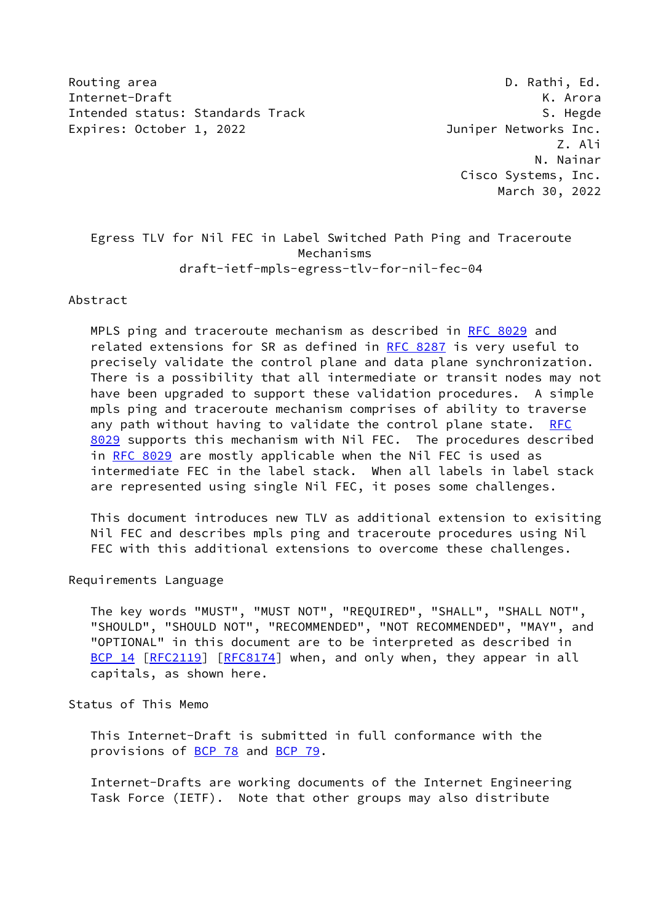Routing area **D. Rathi, Ed.** 2008, 2008, 2008, 2008, 2008, 2008, 2008, 2008, 2008, 2008, 2008, 2008, 2008, 2008, 2008, 2008, 2008, 2008, 2008, 2008, 2008, 2008, 2008, 2008, 2008, 2008, 2008, 2008, 2008, 2008, 2008, 2008, 2 Internet-Draft K. Arora Intended status: Standards Track S. Hegde S. Hegde Expires: October 1, 2022 Juniper Networks Inc.

 Z. Ali N. Nainar Cisco Systems, Inc. March 30, 2022

 Egress TLV for Nil FEC in Label Switched Path Ping and Traceroute Mechanisms draft-ietf-mpls-egress-tlv-for-nil-fec-04

Abstract

 MPLS ping and traceroute mechanism as described in [RFC 8029](https://datatracker.ietf.org/doc/pdf/rfc8029) and related extensions for SR as defined in [RFC 8287](https://datatracker.ietf.org/doc/pdf/rfc8287) is very useful to precisely validate the control plane and data plane synchronization. There is a possibility that all intermediate or transit nodes may not have been upgraded to support these validation procedures. A simple mpls ping and traceroute mechanism comprises of ability to traverse any path without having to validate the control plane state. [RFC](https://datatracker.ietf.org/doc/pdf/rfc8029) [8029](https://datatracker.ietf.org/doc/pdf/rfc8029) supports this mechanism with Nil FEC. The procedures described in [RFC 8029](https://datatracker.ietf.org/doc/pdf/rfc8029) are mostly applicable when the Nil FEC is used as intermediate FEC in the label stack. When all labels in label stack are represented using single Nil FEC, it poses some challenges.

 This document introduces new TLV as additional extension to exisiting Nil FEC and describes mpls ping and traceroute procedures using Nil FEC with this additional extensions to overcome these challenges.

Requirements Language

 The key words "MUST", "MUST NOT", "REQUIRED", "SHALL", "SHALL NOT", "SHOULD", "SHOULD NOT", "RECOMMENDED", "NOT RECOMMENDED", "MAY", and "OPTIONAL" in this document are to be interpreted as described in [BCP 14](https://datatracker.ietf.org/doc/pdf/bcp14) [\[RFC2119](https://datatracker.ietf.org/doc/pdf/rfc2119)] [\[RFC8174](https://datatracker.ietf.org/doc/pdf/rfc8174)] when, and only when, they appear in all capitals, as shown here.

Status of This Memo

 This Internet-Draft is submitted in full conformance with the provisions of [BCP 78](https://datatracker.ietf.org/doc/pdf/bcp78) and [BCP 79](https://datatracker.ietf.org/doc/pdf/bcp79).

 Internet-Drafts are working documents of the Internet Engineering Task Force (IETF). Note that other groups may also distribute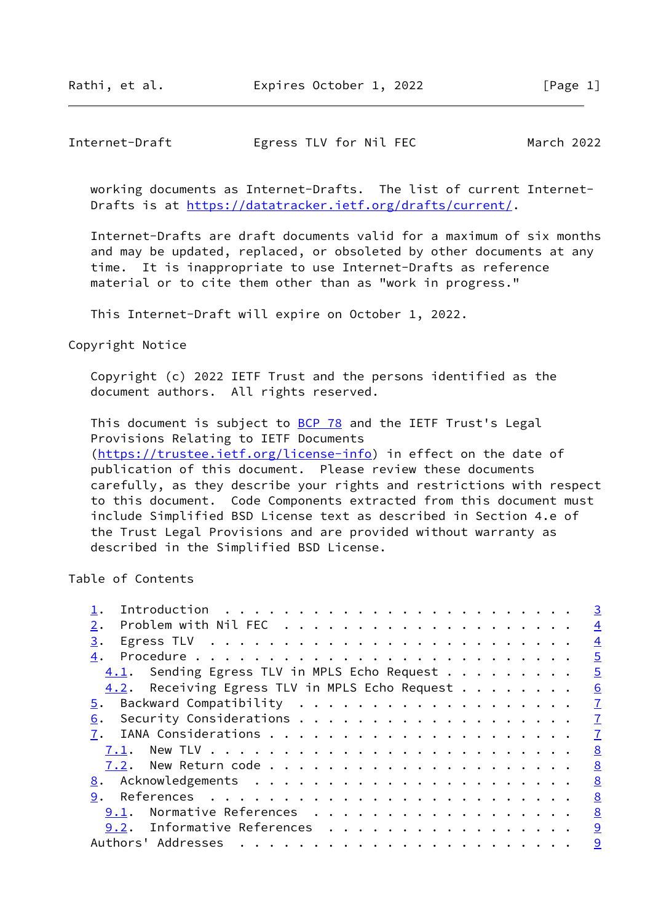# Internet-Draft Egress TLV for Nil FEC March 2022

 working documents as Internet-Drafts. The list of current Internet- Drafts is at<https://datatracker.ietf.org/drafts/current/>.

 Internet-Drafts are draft documents valid for a maximum of six months and may be updated, replaced, or obsoleted by other documents at any time. It is inappropriate to use Internet-Drafts as reference material or to cite them other than as "work in progress."

This Internet-Draft will expire on October 1, 2022.

described in the Simplified BSD License.

Copyright Notice

 Copyright (c) 2022 IETF Trust and the persons identified as the document authors. All rights reserved.

This document is subject to **[BCP 78](https://datatracker.ietf.org/doc/pdf/bcp78)** and the IETF Trust's Legal Provisions Relating to IETF Documents [\(https://trustee.ietf.org/license-info](https://trustee.ietf.org/license-info)) in effect on the date of publication of this document. Please review these documents carefully, as they describe your rights and restrictions with respect to this document. Code Components extracted from this document must include Simplified BSD License text as described in Section 4.e of the Trust Legal Provisions and are provided without warranty as

Table of Contents

|                                                 | $\overline{3}$  |
|-------------------------------------------------|-----------------|
|                                                 | $\overline{4}$  |
| 3.                                              | $\overline{4}$  |
| 4.                                              | $\overline{5}$  |
| Sending Egress TLV in MPLS Echo Request<br>4.1. | $\overline{5}$  |
| 4.2. Receiving Egress TLV in MPLS Echo Request  | $\underline{6}$ |
| 5.                                              | $\mathbf I$     |
| 6.                                              | $\overline{1}$  |
|                                                 | $\mathbf{I}$    |
| 7.1.                                            | 8               |
|                                                 | 8               |
|                                                 | $\underline{8}$ |
| 9.                                              | 8               |
| Normative References<br>9.1.                    | 8               |
| 9.2. Informative References                     | 9               |
| Authors' Addresses                              | 9               |
|                                                 |                 |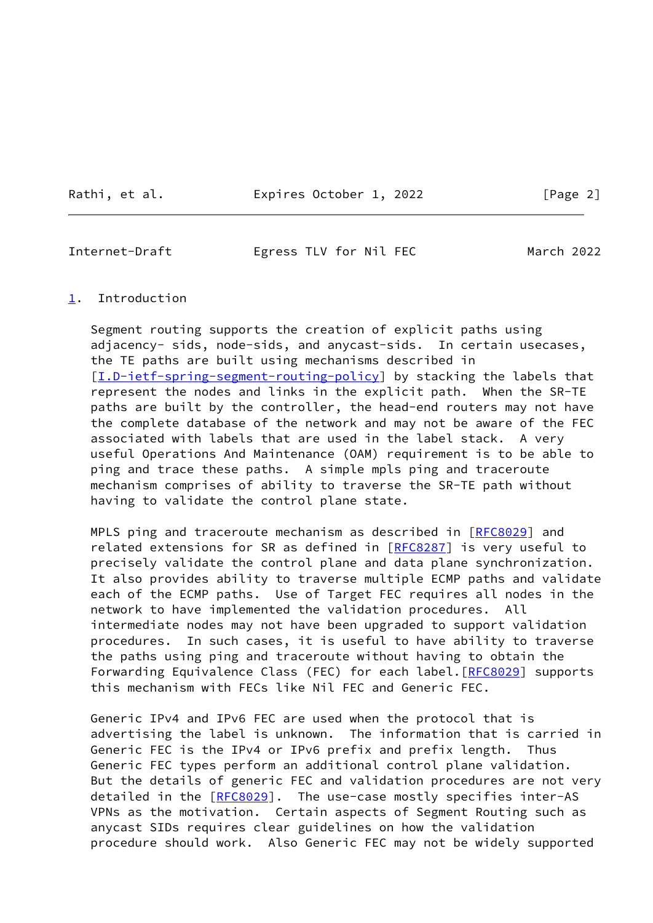Rathi, et al. **Expires October 1, 2022** [Page 2]

<span id="page-2-1"></span>Internet-Draft Egress TLV for Nil FEC March 2022

### <span id="page-2-0"></span>[1](#page-2-0). Introduction

 Segment routing supports the creation of explicit paths using adjacency- sids, node-sids, and anycast-sids. In certain usecases, the TE paths are built using mechanisms described in [\[I.D-ietf-spring-segment-routing-policy](#page-9-2)] by stacking the labels that represent the nodes and links in the explicit path. When the SR-TE paths are built by the controller, the head-end routers may not have the complete database of the network and may not be aware of the FEC associated with labels that are used in the label stack. A very useful Operations And Maintenance (OAM) requirement is to be able to ping and trace these paths. A simple mpls ping and traceroute mechanism comprises of ability to traverse the SR-TE path without having to validate the control plane state.

MPLS ping and traceroute mechanism as described in [[RFC8029\]](https://datatracker.ietf.org/doc/pdf/rfc8029) and related extensions for SR as defined in [\[RFC8287](https://datatracker.ietf.org/doc/pdf/rfc8287)] is very useful to precisely validate the control plane and data plane synchronization. It also provides ability to traverse multiple ECMP paths and validate each of the ECMP paths. Use of Target FEC requires all nodes in the network to have implemented the validation procedures. All intermediate nodes may not have been upgraded to support validation procedures. In such cases, it is useful to have ability to traverse the paths using ping and traceroute without having to obtain the Forwarding Equivalence Class (FEC) for each label. [[RFC8029](https://datatracker.ietf.org/doc/pdf/rfc8029)] supports this mechanism with FECs like Nil FEC and Generic FEC.

 Generic IPv4 and IPv6 FEC are used when the protocol that is advertising the label is unknown. The information that is carried in Generic FEC is the IPv4 or IPv6 prefix and prefix length. Thus Generic FEC types perform an additional control plane validation. But the details of generic FEC and validation procedures are not very detailed in the [\[RFC8029](https://datatracker.ietf.org/doc/pdf/rfc8029)]. The use-case mostly specifies inter-AS VPNs as the motivation. Certain aspects of Segment Routing such as anycast SIDs requires clear guidelines on how the validation procedure should work. Also Generic FEC may not be widely supported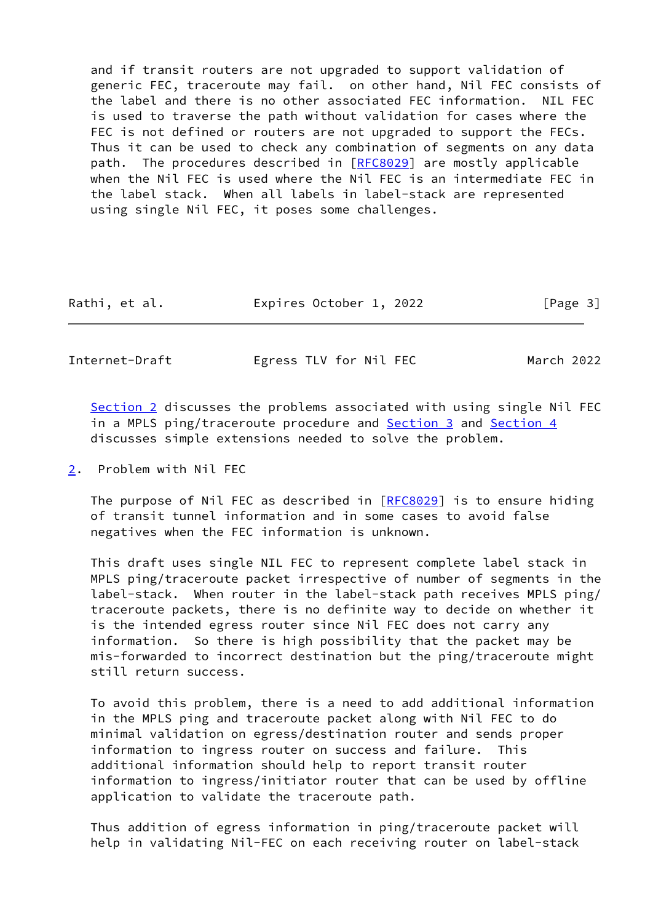and if transit routers are not upgraded to support validation of generic FEC, traceroute may fail. on other hand, Nil FEC consists of the label and there is no other associated FEC information. NIL FEC is used to traverse the path without validation for cases where the FEC is not defined or routers are not upgraded to support the FECs. Thus it can be used to check any combination of segments on any data path. The procedures described in [[RFC8029\]](https://datatracker.ietf.org/doc/pdf/rfc8029) are mostly applicable when the Nil FEC is used where the Nil FEC is an intermediate FEC in the label stack. When all labels in label-stack are represented using single Nil FEC, it poses some challenges.

| Rathi, et al. | Expires October 1, 2022 | [Page 3] |
|---------------|-------------------------|----------|
|---------------|-------------------------|----------|

<span id="page-3-1"></span>Internet-Draft Egress TLV for Nil FEC March 2022

[Section 2](#page-3-0) discusses the problems associated with using single Nil FEC in a MPLS ping/traceroute procedure and [Section 3](#page-4-0) and [Section 4](#page-4-1) discusses simple extensions needed to solve the problem.

<span id="page-3-0"></span>[2](#page-3-0). Problem with Nil FEC

 The purpose of Nil FEC as described in [\[RFC8029](https://datatracker.ietf.org/doc/pdf/rfc8029)] is to ensure hiding of transit tunnel information and in some cases to avoid false negatives when the FEC information is unknown.

 This draft uses single NIL FEC to represent complete label stack in MPLS ping/traceroute packet irrespective of number of segments in the label-stack. When router in the label-stack path receives MPLS ping/ traceroute packets, there is no definite way to decide on whether it is the intended egress router since Nil FEC does not carry any information. So there is high possibility that the packet may be mis-forwarded to incorrect destination but the ping/traceroute might still return success.

 To avoid this problem, there is a need to add additional information in the MPLS ping and traceroute packet along with Nil FEC to do minimal validation on egress/destination router and sends proper information to ingress router on success and failure. This additional information should help to report transit router information to ingress/initiator router that can be used by offline application to validate the traceroute path.

 Thus addition of egress information in ping/traceroute packet will help in validating Nil-FEC on each receiving router on label-stack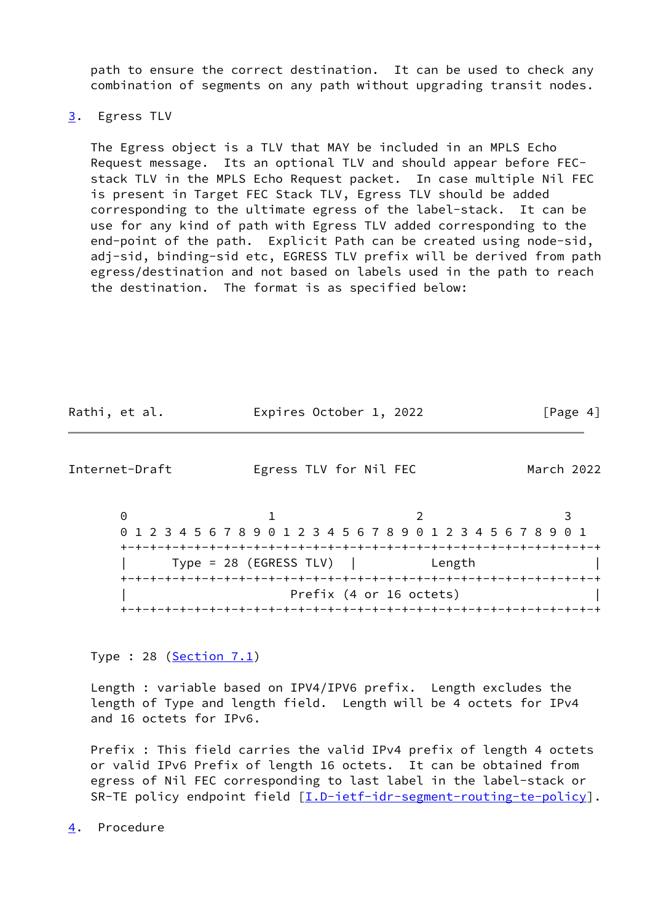path to ensure the correct destination. It can be used to check any combination of segments on any path without upgrading transit nodes.

## <span id="page-4-0"></span>[3](#page-4-0). Egress TLV

 The Egress object is a TLV that MAY be included in an MPLS Echo Request message. Its an optional TLV and should appear before FEC stack TLV in the MPLS Echo Request packet. In case multiple Nil FEC is present in Target FEC Stack TLV, Egress TLV should be added corresponding to the ultimate egress of the label-stack. It can be use for any kind of path with Egress TLV added corresponding to the end-point of the path. Explicit Path can be created using node-sid, adj-sid, binding-sid etc, EGRESS TLV prefix will be derived from path egress/destination and not based on labels used in the path to reach the destination. The format is as specified below:

| Rathi, et al. | Expires October 1, 2022 | [Page 4] |
|---------------|-------------------------|----------|
|               |                         |          |

<span id="page-4-2"></span>Internet-Draft Egress TLV for Nil FEC March 2022

0 1 2 3 0 1 2 3 4 5 6 7 8 9 0 1 2 3 4 5 6 7 8 9 0 1 2 3 4 5 6 7 8 9 0 1 +-+-+-+-+-+-+-+-+-+-+-+-+-+-+-+-+-+-+-+-+-+-+-+-+-+-+-+-+-+-+-+-+ | Type = 28 (EGRESS TLV) | Length | +-+-+-+-+-+-+-+-+-+-+-+-+-+-+-+-+-+-+-+-+-+-+-+-+-+-+-+-+-+-+-+-+ Prefix (4 or 16 octets) +-+-+-+-+-+-+-+-+-+-+-+-+-+-+-+-+-+-+-+-+-+-+-+-+-+-+-+-+-+-+-+-+

Type : 28 ( $Section 7.1$ )

 Length : variable based on IPV4/IPV6 prefix. Length excludes the length of Type and length field. Length will be 4 octets for IPv4 and 16 octets for IPv6.

 Prefix : This field carries the valid IPv4 prefix of length 4 octets or valid IPv6 Prefix of length 16 octets. It can be obtained from egress of Nil FEC corresponding to last label in the label-stack or SR-TE policy endpoint field [\[I.D-ietf-idr-segment-routing-te-policy](#page-5-2)].

<span id="page-4-1"></span>[4](#page-4-1). Procedure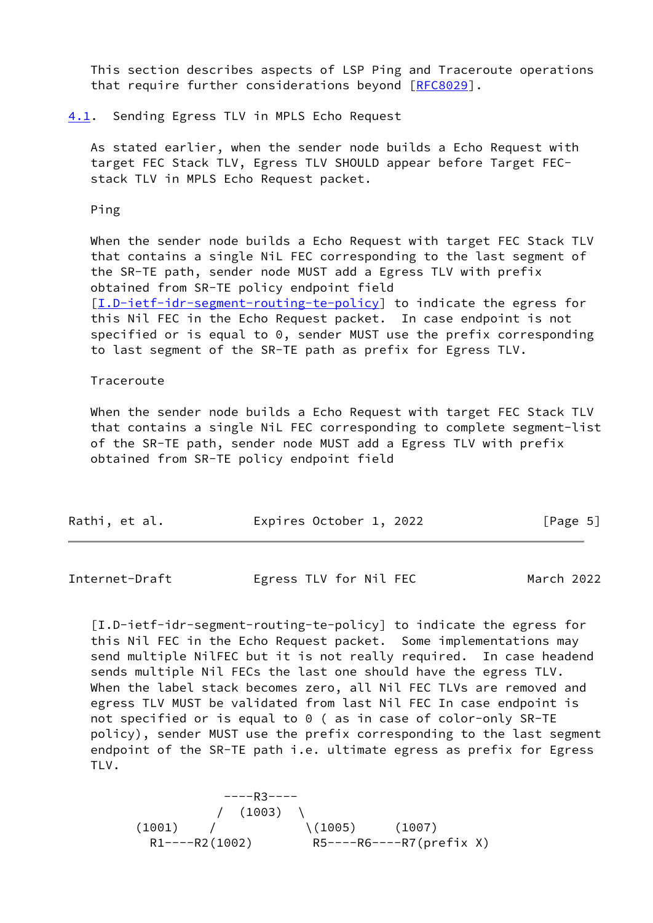This section describes aspects of LSP Ping and Traceroute operations that require further considerations beyond [[RFC8029\]](https://datatracker.ietf.org/doc/pdf/rfc8029).

#### <span id="page-5-0"></span>[4.1](#page-5-0). Sending Egress TLV in MPLS Echo Request

 As stated earlier, when the sender node builds a Echo Request with target FEC Stack TLV, Egress TLV SHOULD appear before Target FEC stack TLV in MPLS Echo Request packet.

Ping

 When the sender node builds a Echo Request with target FEC Stack TLV that contains a single NiL FEC corresponding to the last segment of the SR-TE path, sender node MUST add a Egress TLV with prefix obtained from SR-TE policy endpoint field [\[I.D-ietf-idr-segment-routing-te-policy](#page-5-2)] to indicate the egress for this Nil FEC in the Echo Request packet. In case endpoint is not specified or is equal to 0, sender MUST use the prefix corresponding to last segment of the SR-TE path as prefix for Egress TLV.

#### Traceroute

 When the sender node builds a Echo Request with target FEC Stack TLV that contains a single NiL FEC corresponding to complete segment-list of the SR-TE path, sender node MUST add a Egress TLV with prefix obtained from SR-TE policy endpoint field

| Rathi, et al. | Expires October 1, 2022 | [Page 5] |
|---------------|-------------------------|----------|
|               |                         |          |

<span id="page-5-1"></span>

| Internet-Draft | Egress TLV for Nil FEC | March 2022 |
|----------------|------------------------|------------|
|                |                        |            |

<span id="page-5-2"></span> [I.D-ietf-idr-segment-routing-te-policy] to indicate the egress for this Nil FEC in the Echo Request packet. Some implementations may send multiple NilFEC but it is not really required. In case headend sends multiple Nil FECs the last one should have the egress TLV. When the label stack becomes zero, all Nil FEC TLVs are removed and egress TLV MUST be validated from last Nil FEC In case endpoint is not specified or is equal to 0 ( as in case of color-only SR-TE policy), sender MUST use the prefix corresponding to the last segment endpoint of the SR-TE path i.e. ultimate egress as prefix for Egress TLV.

 ----R3----  $/ (1003)$  $(1001)$  /  $(1005)$   $(1007)$ R1----R2(1002) R5----R6----R7(prefix X)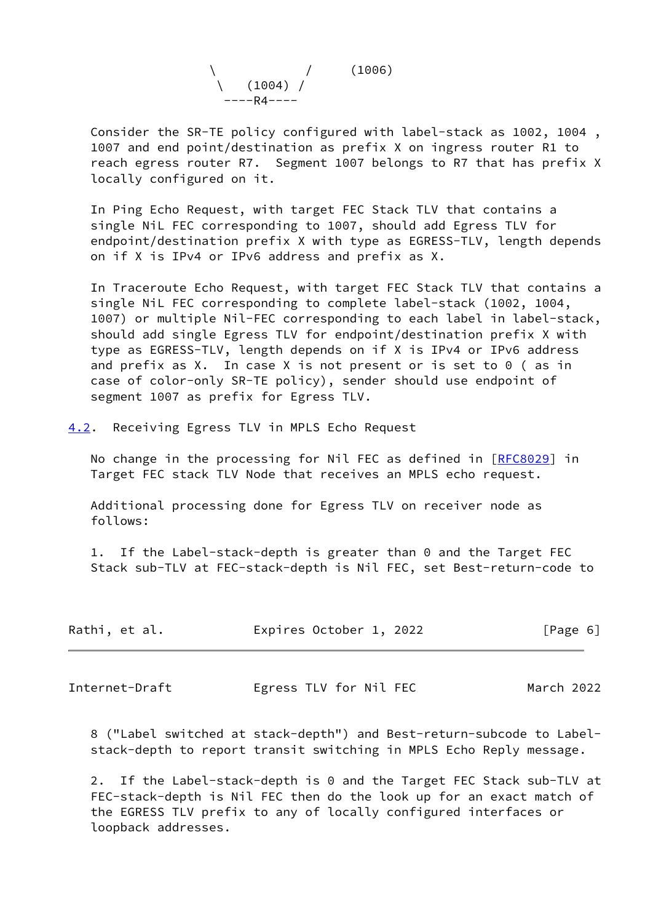

 Consider the SR-TE policy configured with label-stack as 1002, 1004 , 1007 and end point/destination as prefix X on ingress router R1 to reach egress router R7. Segment 1007 belongs to R7 that has prefix X locally configured on it.

 In Ping Echo Request, with target FEC Stack TLV that contains a single NiL FEC corresponding to 1007, should add Egress TLV for endpoint/destination prefix X with type as EGRESS-TLV, length depends on if X is IPv4 or IPv6 address and prefix as X.

 In Traceroute Echo Request, with target FEC Stack TLV that contains a single NiL FEC corresponding to complete label-stack (1002, 1004, 1007) or multiple Nil-FEC corresponding to each label in label-stack, should add single Egress TLV for endpoint/destination prefix X with type as EGRESS-TLV, length depends on if X is IPv4 or IPv6 address and prefix as X. In case X is not present or is set to 0 ( as in case of color-only SR-TE policy), sender should use endpoint of segment 1007 as prefix for Egress TLV.

<span id="page-6-0"></span>[4.2](#page-6-0). Receiving Egress TLV in MPLS Echo Request

No change in the processing for Nil FEC as defined in [[RFC8029](https://datatracker.ietf.org/doc/pdf/rfc8029)] in Target FEC stack TLV Node that receives an MPLS echo request.

 Additional processing done for Egress TLV on receiver node as follows:

 1. If the Label-stack-depth is greater than 0 and the Target FEC Stack sub-TLV at FEC-stack-depth is Nil FEC, set Best-return-code to

| Expires October 1, 2022<br>Rathi, et al. | [Page 6] |
|------------------------------------------|----------|
|------------------------------------------|----------|

<span id="page-6-1"></span>Internet-Draft Egress TLV for Nil FEC March 2022

 8 ("Label switched at stack-depth") and Best-return-subcode to Label stack-depth to report transit switching in MPLS Echo Reply message.

 2. If the Label-stack-depth is 0 and the Target FEC Stack sub-TLV at FEC-stack-depth is Nil FEC then do the look up for an exact match of the EGRESS TLV prefix to any of locally configured interfaces or loopback addresses.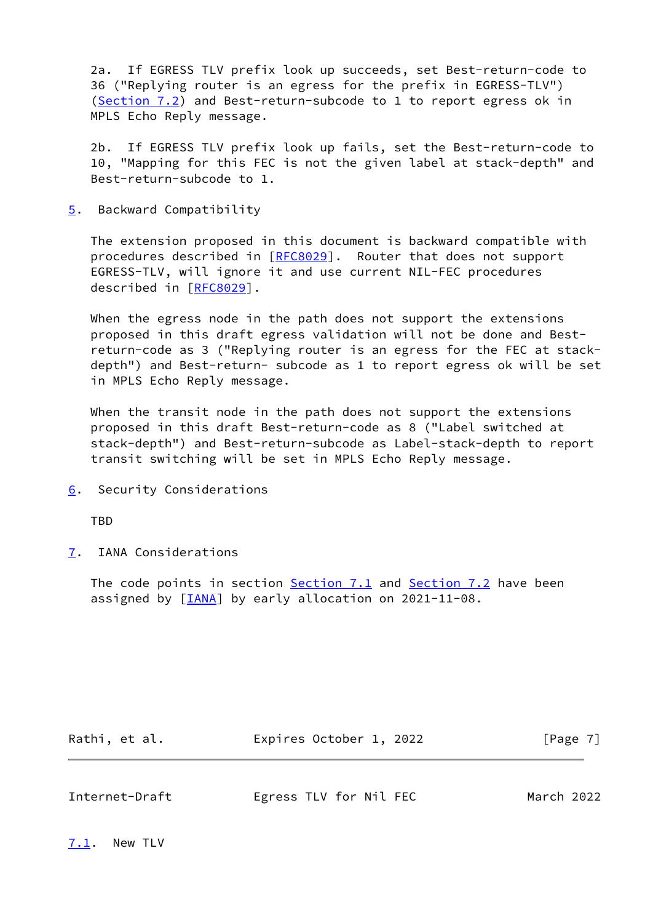2a. If EGRESS TLV prefix look up succeeds, set Best-return-code to 36 ("Replying router is an egress for the prefix in EGRESS-TLV") [\(Section 7.2](#page-8-0)) and Best-return-subcode to 1 to report egress ok in MPLS Echo Reply message.

 2b. If EGRESS TLV prefix look up fails, set the Best-return-code to 10, "Mapping for this FEC is not the given label at stack-depth" and Best-return-subcode to 1.

<span id="page-7-0"></span>[5](#page-7-0). Backward Compatibility

 The extension proposed in this document is backward compatible with procedures described in [\[RFC8029](https://datatracker.ietf.org/doc/pdf/rfc8029)]. Router that does not support EGRESS-TLV, will ignore it and use current NIL-FEC procedures described in [\[RFC8029](https://datatracker.ietf.org/doc/pdf/rfc8029)].

 When the egress node in the path does not support the extensions proposed in this draft egress validation will not be done and Best return-code as 3 ("Replying router is an egress for the FEC at stack depth") and Best-return- subcode as 1 to report egress ok will be set in MPLS Echo Reply message.

 When the transit node in the path does not support the extensions proposed in this draft Best-return-code as 8 ("Label switched at stack-depth") and Best-return-subcode as Label-stack-depth to report transit switching will be set in MPLS Echo Reply message.

<span id="page-7-1"></span>[6](#page-7-1). Security Considerations

**TBD** 

<span id="page-7-2"></span>[7](#page-7-2). IANA Considerations

The code points in section [Section 7.1](#page-7-3) and [Section 7.2](#page-8-0) have been assigned by [\[IANA](#page-8-4)] by early allocation on 2021-11-08.

| Rathi, et al. | Expires October 1, 2022 | [Page 7] |
|---------------|-------------------------|----------|
|               |                         |          |

<span id="page-7-4"></span>

| Internet-Draft | Egress TLV for Nil FEC | March 2022 |
|----------------|------------------------|------------|
|                |                        |            |

<span id="page-7-3"></span>[7.1](#page-7-3). New TLV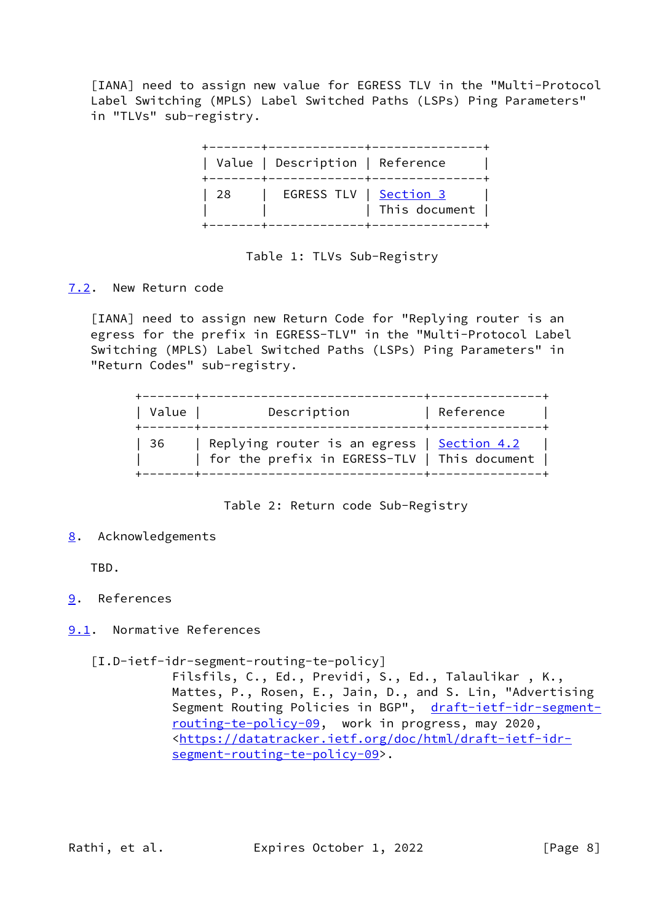<span id="page-8-4"></span> [IANA] need to assign new value for EGRESS TLV in the "Multi-Protocol Label Switching (MPLS) Label Switched Paths (LSPs) Ping Parameters" in "TLVs" sub-registry.



# Table 1: TLVs Sub-Registry

## <span id="page-8-0"></span>[7.2](#page-8-0). New Return code

[IANA] need to assign new Return Code for "Replying router is an egress for the prefix in EGRESS-TLV" in the "Multi-Protocol Label Switching (MPLS) Label Switched Paths (LSPs) Ping Parameters" in "Return Codes" sub-registry.

| Value | Description                                                                                              | Reference |
|-------|----------------------------------------------------------------------------------------------------------|-----------|
| -36   | Replying router is an egress $\frac{1}{2}$ Section 4.2<br>  for the prefix in EGRESS-TLV   This document |           |

Table 2: Return code Sub-Registry

## <span id="page-8-1"></span>[8](#page-8-1). Acknowledgements

TBD.

- <span id="page-8-2"></span>[9](#page-8-2). References
- <span id="page-8-3"></span>[9.1](#page-8-3). Normative References
	- [I.D-ietf-idr-segment-routing-te-policy]

 Filsfils, C., Ed., Previdi, S., Ed., Talaulikar , K., Mattes, P., Rosen, E., Jain, D., and S. Lin, "Advertising Segment Routing Policies in BGP", [draft-ietf-idr-segment](https://datatracker.ietf.org/doc/pdf/draft-ietf-idr-segment-routing-te-policy-09) [routing-te-policy-09,](https://datatracker.ietf.org/doc/pdf/draft-ietf-idr-segment-routing-te-policy-09) work in progress, may 2020, <[https://datatracker.ietf.org/doc/html/draft-ietf-idr](https://datatracker.ietf.org/doc/html/draft-ietf-idr-segment-routing-te-policy-09) [segment-routing-te-policy-09>](https://datatracker.ietf.org/doc/html/draft-ietf-idr-segment-routing-te-policy-09).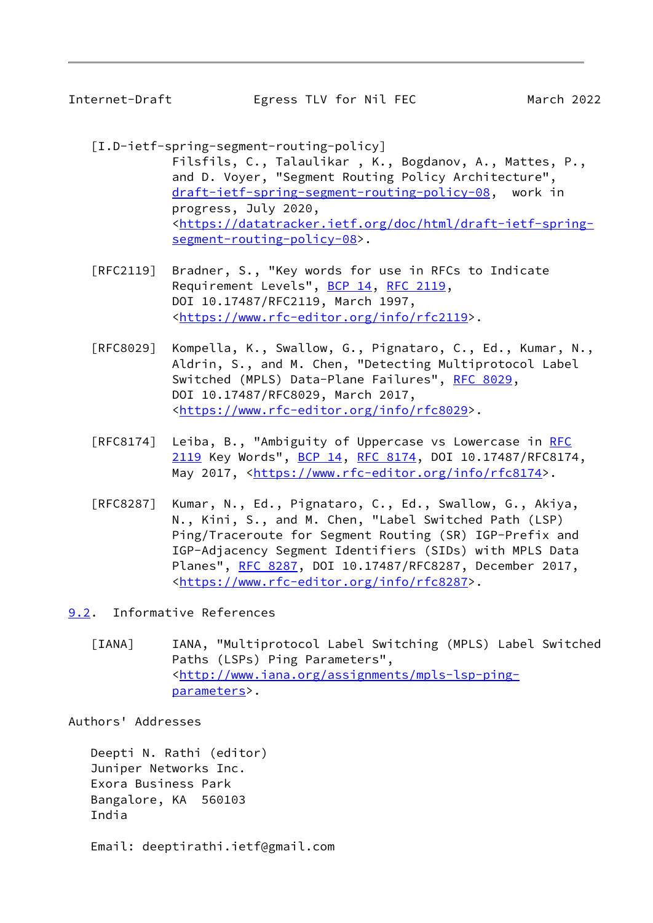<span id="page-9-1"></span>

Internet-Draft Egress TLV for Nil FEC March 2022

- <span id="page-9-2"></span> [I.D-ietf-spring-segment-routing-policy] Filsfils, C., Talaulikar , K., Bogdanov, A., Mattes, P., and D. Voyer, "Segment Routing Policy Architecture", [draft-ietf-spring-segment-routing-policy-08](https://datatracker.ietf.org/doc/pdf/draft-ietf-spring-segment-routing-policy-08), work in progress, July 2020, <[https://datatracker.ietf.org/doc/html/draft-ietf-spring](https://datatracker.ietf.org/doc/html/draft-ietf-spring-segment-routing-policy-08) [segment-routing-policy-08>](https://datatracker.ietf.org/doc/html/draft-ietf-spring-segment-routing-policy-08).
- [RFC2119] Bradner, S., "Key words for use in RFCs to Indicate Requirement Levels", [BCP 14](https://datatracker.ietf.org/doc/pdf/bcp14), [RFC 2119](https://datatracker.ietf.org/doc/pdf/rfc2119), DOI 10.17487/RFC2119, March 1997, <[https://www.rfc-editor.org/info/rfc2119>](https://www.rfc-editor.org/info/rfc2119).
- [RFC8029] Kompella, K., Swallow, G., Pignataro, C., Ed., Kumar, N., Aldrin, S., and M. Chen, "Detecting Multiprotocol Label Switched (MPLS) Data-Plane Failures", [RFC 8029](https://datatracker.ietf.org/doc/pdf/rfc8029), DOI 10.17487/RFC8029, March 2017, <[https://www.rfc-editor.org/info/rfc8029>](https://www.rfc-editor.org/info/rfc8029).
- [RFC8174] Leiba, B., "Ambiguity of Uppercase vs Lowercase in [RFC](https://datatracker.ietf.org/doc/pdf/rfc2119) [2119](https://datatracker.ietf.org/doc/pdf/rfc2119) Key Words", [BCP 14](https://datatracker.ietf.org/doc/pdf/bcp14), [RFC 8174,](https://datatracker.ietf.org/doc/pdf/rfc8174) DOI 10.17487/RFC8174, May 2017, [<https://www.rfc-editor.org/info/rfc8174](https://www.rfc-editor.org/info/rfc8174)>.
- [RFC8287] Kumar, N., Ed., Pignataro, C., Ed., Swallow, G., Akiya, N., Kini, S., and M. Chen, "Label Switched Path (LSP) Ping/Traceroute for Segment Routing (SR) IGP-Prefix and IGP-Adjacency Segment Identifiers (SIDs) with MPLS Data Planes", [RFC 8287,](https://datatracker.ietf.org/doc/pdf/rfc8287) DOI 10.17487/RFC8287, December 2017, <[https://www.rfc-editor.org/info/rfc8287>](https://www.rfc-editor.org/info/rfc8287).

<span id="page-9-0"></span>[9.2](#page-9-0). Informative References

[IANA] IANA, "Multiprotocol Label Switching (MPLS) Label Switched Paths (LSPs) Ping Parameters", <[http://www.iana.org/assignments/mpls-lsp-ping](http://www.iana.org/assignments/mpls-lsp-ping-parameters) [parameters>](http://www.iana.org/assignments/mpls-lsp-ping-parameters).

Authors' Addresses

 Deepti N. Rathi (editor) Juniper Networks Inc. Exora Business Park Bangalore, KA 560103 India

Email: deeptirathi.ietf@gmail.com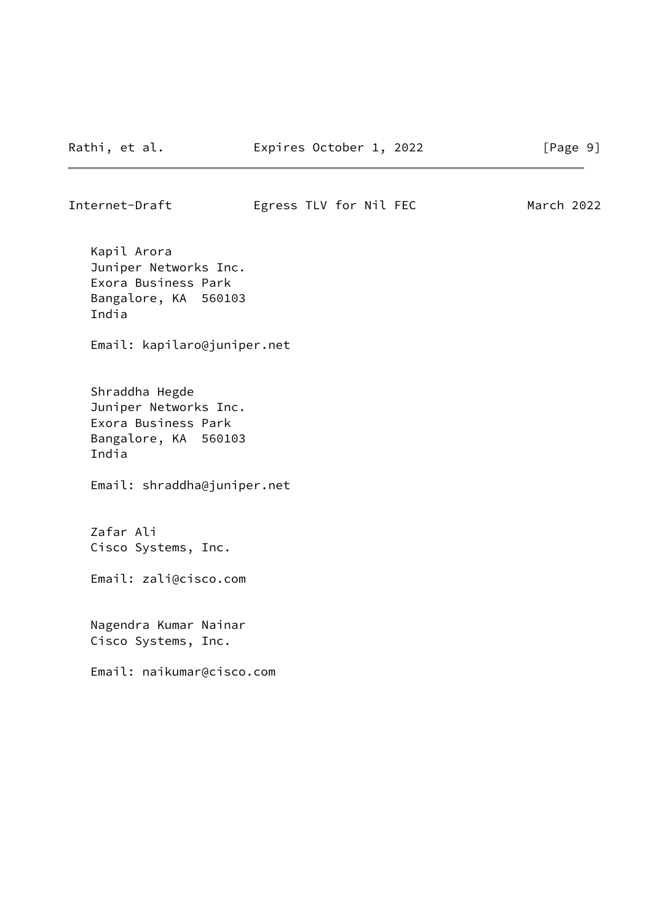# Internet-Draft Egress TLV for Nil FEC March 2022

 Kapil Arora Juniper Networks Inc. Exora Business Park Bangalore, KA 560103 India

Email: kapilaro@juniper.net

 Shraddha Hegde Juniper Networks Inc. Exora Business Park Bangalore, KA 560103 India

Email: shraddha@juniper.net

 Zafar Ali Cisco Systems, Inc.

Email: zali@cisco.com

 Nagendra Kumar Nainar Cisco Systems, Inc.

Email: naikumar@cisco.com